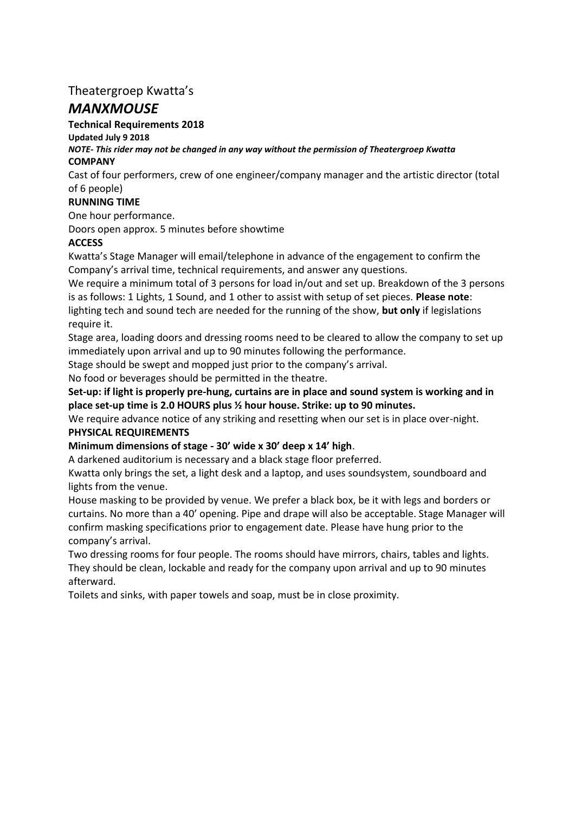# Theatergroep Kwatta's

# *MANXMOUSE*

# **Technical Requirements 2018**

# **Updated July 9 2018**

#### *NOTE- This rider may not be changed in any way without the permission of Theatergroep Kwatta*  **COMPANY**

Cast of four performers, crew of one engineer/company manager and the artistic director (total of 6 people)

# **RUNNING TIME**

One hour performance.

Doors open approx. 5 minutes before showtime

# **ACCESS**

Kwatta's Stage Manager will email/telephone in advance of the engagement to confirm the Company's arrival time, technical requirements, and answer any questions.

We require a minimum total of 3 persons for load in/out and set up. Breakdown of the 3 persons is as follows: 1 Lights, 1 Sound, and 1 other to assist with setup of set pieces. **Please note**: lighting tech and sound tech are needed for the running of the show, **but only** if legislations require it.

Stage area, loading doors and dressing rooms need to be cleared to allow the company to set up immediately upon arrival and up to 90 minutes following the performance.

Stage should be swept and mopped just prior to the company's arrival.

No food or beverages should be permitted in the theatre.

**Set-up: if light is properly pre-hung, curtains are in place and sound system is working and in place set-up time is 2.0 HOURS plus ½ hour house. Strike: up to 90 minutes.** 

We require advance notice of any striking and resetting when our set is in place over-night. **PHYSICAL REQUIREMENTS** 

# **Minimum dimensions of stage - 30' wide x 30' deep x 14' high**.

A darkened auditorium is necessary and a black stage floor preferred.

Kwatta only brings the set, a light desk and a laptop, and uses soundsystem, soundboard and lights from the venue.

House masking to be provided by venue. We prefer a black box, be it with legs and borders or curtains. No more than a 40' opening. Pipe and drape will also be acceptable. Stage Manager will confirm masking specifications prior to engagement date. Please have hung prior to the company's arrival.

Two dressing rooms for four people. The rooms should have mirrors, chairs, tables and lights. They should be clean, lockable and ready for the company upon arrival and up to 90 minutes afterward.

Toilets and sinks, with paper towels and soap, must be in close proximity.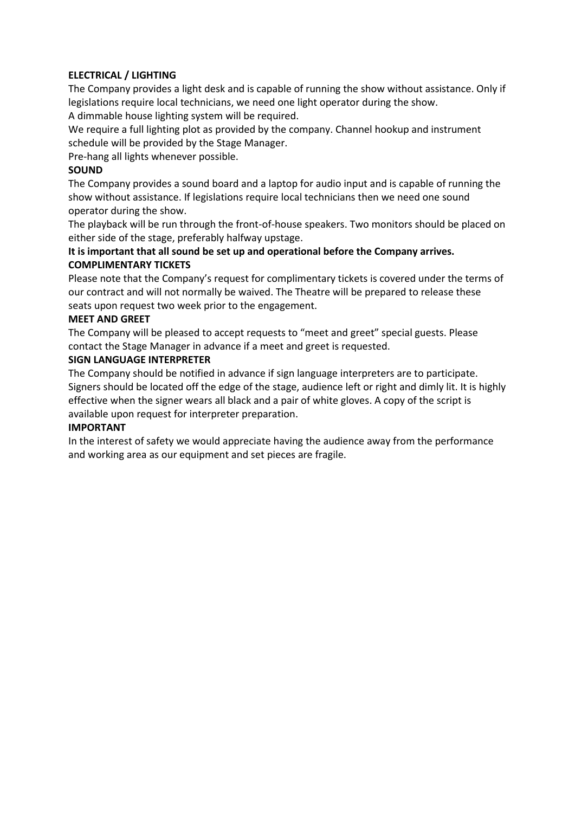# **ELECTRICAL / LIGHTING**

The Company provides a light desk and is capable of running the show without assistance. Only if legislations require local technicians, we need one light operator during the show.

A dimmable house lighting system will be required.

We require a full lighting plot as provided by the company. Channel hookup and instrument schedule will be provided by the Stage Manager.

Pre-hang all lights whenever possible.

## **SOUND**

The Company provides a sound board and a laptop for audio input and is capable of running the show without assistance. If legislations require local technicians then we need one sound operator during the show.

The playback will be run through the front-of-house speakers. Two monitors should be placed on either side of the stage, preferably halfway upstage.

# **It is important that all sound be set up and operational before the Company arrives. COMPLIMENTARY TICKETS**

Please note that the Company's request for complimentary tickets is covered under the terms of our contract and will not normally be waived. The Theatre will be prepared to release these seats upon request two week prior to the engagement.

### **MEET AND GREET**

The Company will be pleased to accept requests to "meet and greet" special guests. Please contact the Stage Manager in advance if a meet and greet is requested.

### **SIGN LANGUAGE INTERPRETER**

The Company should be notified in advance if sign language interpreters are to participate. Signers should be located off the edge of the stage, audience left or right and dimly lit. It is highly effective when the signer wears all black and a pair of white gloves. A copy of the script is available upon request for interpreter preparation.

### **IMPORTANT**

In the interest of safety we would appreciate having the audience away from the performance and working area as our equipment and set pieces are fragile.